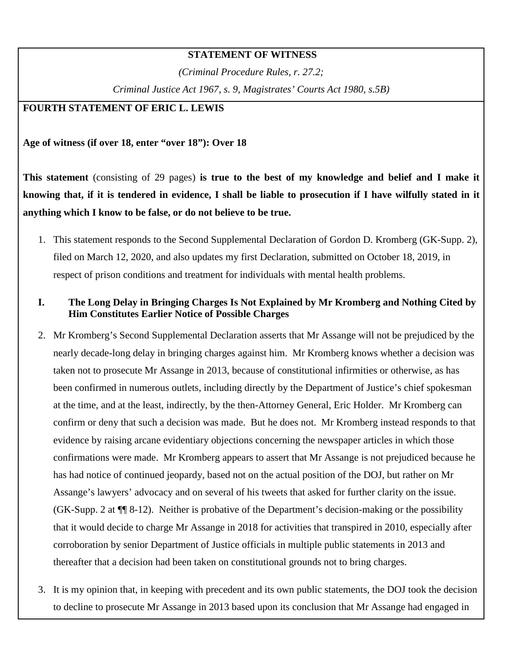### **STATEMENT OF WITNESS**

*(Criminal Procedure Rules, r. 27.2;* 

*Criminal Justice Act 1967, s. 9, Magistrates' Courts Act 1980, s.5B)* 

## **FOURTH STATEMENT OF ERIC L. LEWIS**

**Age of witness (if over 18, enter "over 18"): Over 18**

**This statement** (consisting of 29 pages) **is true to the best of my knowledge and belief and I make it knowing that, if it is tendered in evidence, I shall be liable to prosecution if I have wilfully stated in it anything which I know to be false, or do not believe to be true.** 

1. This statement responds to the Second Supplemental Declaration of Gordon D. Kromberg (GK-Supp. 2), filed on March 12, 2020, and also updates my first Declaration, submitted on October 18, 2019, in respect of prison conditions and treatment for individuals with mental health problems.

### **I. The Long Delay in Bringing Charges Is Not Explained by Mr Kromberg and Nothing Cited by Him Constitutes Earlier Notice of Possible Charges**

- 2. Mr Kromberg's Second Supplemental Declaration asserts that Mr Assange will not be prejudiced by the nearly decade-long delay in bringing charges against him. Mr Kromberg knows whether a decision was taken not to prosecute Mr Assange in 2013, because of constitutional infirmities or otherwise, as has been confirmed in numerous outlets, including directly by the Department of Justice's chief spokesman at the time, and at the least, indirectly, by the then-Attorney General, Eric Holder. Mr Kromberg can confirm or deny that such a decision was made. But he does not. Mr Kromberg instead responds to that evidence by raising arcane evidentiary objections concerning the newspaper articles in which those confirmations were made. Mr Kromberg appears to assert that Mr Assange is not prejudiced because he has had notice of continued jeopardy, based not on the actual position of the DOJ, but rather on Mr Assange's lawyers' advocacy and on several of his tweets that asked for further clarity on the issue. (GK-Supp. 2 at ¶¶ 8-12). Neither is probative of the Department's decision-making or the possibility that it would decide to charge Mr Assange in 2018 for activities that transpired in 2010, especially after corroboration by senior Department of Justice officials in multiple public statements in 2013 and thereafter that a decision had been taken on constitutional grounds not to bring charges.
- 3. It is my opinion that, in keeping with precedent and its own public statements, the DOJ took the decision to decline to prosecute Mr Assange in 2013 based upon its conclusion that Mr Assange had engaged in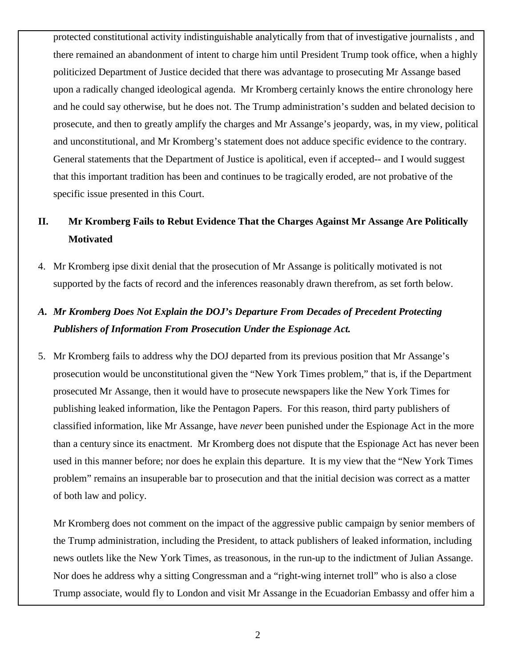protected constitutional activity indistinguishable analytically from that of investigative journalists , and there remained an abandonment of intent to charge him until President Trump took office, when a highly politicized Department of Justice decided that there was advantage to prosecuting Mr Assange based upon a radically changed ideological agenda. Mr Kromberg certainly knows the entire chronology here and he could say otherwise, but he does not. The Trump administration's sudden and belated decision to prosecute, and then to greatly amplify the charges and Mr Assange's jeopardy, was, in my view, political and unconstitutional, and Mr Kromberg's statement does not adduce specific evidence to the contrary. General statements that the Department of Justice is apolitical, even if accepted-- and I would suggest that this important tradition has been and continues to be tragically eroded, are not probative of the specific issue presented in this Court.

# **II. Mr Kromberg Fails to Rebut Evidence That the Charges Against Mr Assange Are Politically Motivated**

4. Mr Kromberg ipse dixit denial that the prosecution of Mr Assange is politically motivated is not supported by the facts of record and the inferences reasonably drawn therefrom, as set forth below.

# *A. Mr Kromberg Does Not Explain the DOJ's Departure From Decades of Precedent Protecting Publishers of Information From Prosecution Under the Espionage Act.*

5. Mr Kromberg fails to address why the DOJ departed from its previous position that Mr Assange's prosecution would be unconstitutional given the "New York Times problem," that is, if the Department prosecuted Mr Assange, then it would have to prosecute newspapers like the New York Times for publishing leaked information, like the Pentagon Papers. For this reason, third party publishers of classified information, like Mr Assange, have *never* been punished under the Espionage Act in the more than a century since its enactment. Mr Kromberg does not dispute that the Espionage Act has never been used in this manner before; nor does he explain this departure. It is my view that the "New York Times problem" remains an insuperable bar to prosecution and that the initial decision was correct as a matter of both law and policy.

Mr Kromberg does not comment on the impact of the aggressive public campaign by senior members of the Trump administration, including the President, to attack publishers of leaked information, including news outlets like the New York Times, as treasonous, in the run-up to the indictment of Julian Assange. Nor does he address why a sitting Congressman and a "right-wing internet troll" who is also a close Trump associate, would fly to London and visit Mr Assange in the Ecuadorian Embassy and offer him a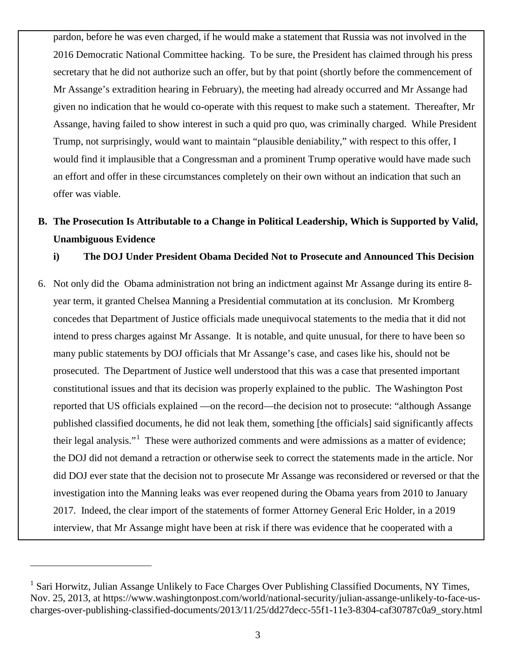pardon, before he was even charged, if he would make a statement that Russia was not involved in the 2016 Democratic National Committee hacking. To be sure, the President has claimed through his press secretary that he did not authorize such an offer, but by that point (shortly before the commencement of Mr Assange's extradition hearing in February), the meeting had already occurred and Mr Assange had given no indication that he would co-operate with this request to make such a statement. Thereafter, Mr Assange, having failed to show interest in such a quid pro quo, was criminally charged. While President Trump, not surprisingly, would want to maintain "plausible deniability," with respect to this offer, I would find it implausible that a Congressman and a prominent Trump operative would have made such an effort and offer in these circumstances completely on their own without an indication that such an offer was viable.

# **B. The Prosecution Is Attributable to a Change in Political Leadership, Which is Supported by Valid, Unambiguous Evidence**

**i) The DOJ Under President Obama Decided Not to Prosecute and Announced This Decision**

6. Not only did the Obama administration not bring an indictment against Mr Assange during its entire 8 year term, it granted Chelsea Manning a Presidential commutation at its conclusion. Mr Kromberg concedes that Department of Justice officials made unequivocal statements to the media that it did not intend to press charges against Mr Assange. It is notable, and quite unusual, for there to have been so many public statements by DOJ officials that Mr Assange's case, and cases like his, should not be prosecuted. The Department of Justice well understood that this was a case that presented important constitutional issues and that its decision was properly explained to the public. The Washington Post reported that US officials explained —on the record—the decision not to prosecute: "although Assange published classified documents, he did not leak them, something [the officials] said significantly affects their legal analysis."<sup>[1](#page-2-0)</sup> These were authorized comments and were admissions as a matter of evidence; the DOJ did not demand a retraction or otherwise seek to correct the statements made in the article. Nor did DOJ ever state that the decision not to prosecute Mr Assange was reconsidered or reversed or that the investigation into the Manning leaks was ever reopened during the Obama years from 2010 to January 2017. Indeed, the clear import of the statements of former Attorney General Eric Holder, in a 2019 interview, that Mr Assange might have been at risk if there was evidence that he cooperated with a

<span id="page-2-0"></span><sup>&</sup>lt;sup>1</sup> Sari Horwitz, Julian Assange Unlikely to Face Charges Over Publishing Classified Documents, NY Times, Nov. 25, 2013, at [https://www.washingtonpost.com/world/national-security/julian-assange-unlikely-to-face-us](about:blank)[charges-over-publishing-classified-documents/2013/11/25/dd27decc-55f1-11e3-8304-caf30787c0a9\\_story.html](about:blank)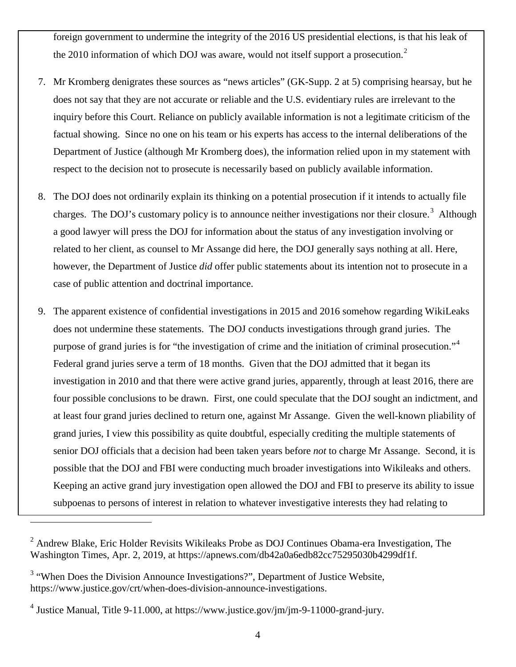foreign government to undermine the integrity of the 2016 US presidential elections, is that his leak of the [2](#page-3-0)010 information of which DOJ was aware, would not itself support a prosecution.<sup>2</sup>

- 7. Mr Kromberg denigrates these sources as "news articles" (GK-Supp. 2 at 5) comprising hearsay, but he does not say that they are not accurate or reliable and the U.S. evidentiary rules are irrelevant to the inquiry before this Court. Reliance on publicly available information is not a legitimate criticism of the factual showing. Since no one on his team or his experts has access to the internal deliberations of the Department of Justice (although Mr Kromberg does), the information relied upon in my statement with respect to the decision not to prosecute is necessarily based on publicly available information.
- 8. The DOJ does not ordinarily explain its thinking on a potential prosecution if it intends to actually file charges. The DOJ's customary policy is to announce neither investigations nor their closure.<sup>[3](#page-3-1)</sup> Although a good lawyer will press the DOJ for information about the status of any investigation involving or related to her client, as counsel to Mr Assange did here, the DOJ generally says nothing at all. Here, however, the Department of Justice *did* offer public statements about its intention not to prosecute in a case of public attention and doctrinal importance.
- 9. The apparent existence of confidential investigations in 2015 and 2016 somehow regarding WikiLeaks does not undermine these statements. The DOJ conducts investigations through grand juries. The purpose of grand juries is for "the investigation of crime and the initiation of criminal prosecution."<sup>[4](#page-3-2)</sup> Federal grand juries serve a term of 18 months. Given that the DOJ admitted that it began its investigation in 2010 and that there were active grand juries, apparently, through at least 2016, there are four possible conclusions to be drawn. First, one could speculate that the DOJ sought an indictment, and at least four grand juries declined to return one, against Mr Assange. Given the well-known pliability of grand juries, I view this possibility as quite doubtful, especially crediting the multiple statements of senior DOJ officials that a decision had been taken years before *not* to charge Mr Assange. Second, it is possible that the DOJ and FBI were conducting much broader investigations into Wikileaks and others. Keeping an active grand jury investigation open allowed the DOJ and FBI to preserve its ability to issue subpoenas to persons of interest in relation to whatever investigative interests they had relating to

<span id="page-3-0"></span> $2$  Andrew Blake, Eric Holder Revisits Wikileaks Probe as DOJ Continues Obama-era Investigation, The Washington Times, Apr. 2, 2019, at [https://apnews.com/db42a0a6edb82cc75295030b4299df1f.](about:blank)

<span id="page-3-1"></span><sup>&</sup>lt;sup>3</sup> "When Does the Division Announce Investigations?", Department of Justice Website, [https://www.justice.gov/crt/when-does-division-announce-investigations.](about:blank)

<span id="page-3-2"></span><sup>4</sup> Justice Manual, Title 9-11.000, at [https://www.justice.gov/jm/jm-9-11000-grand-jury.](about:blank)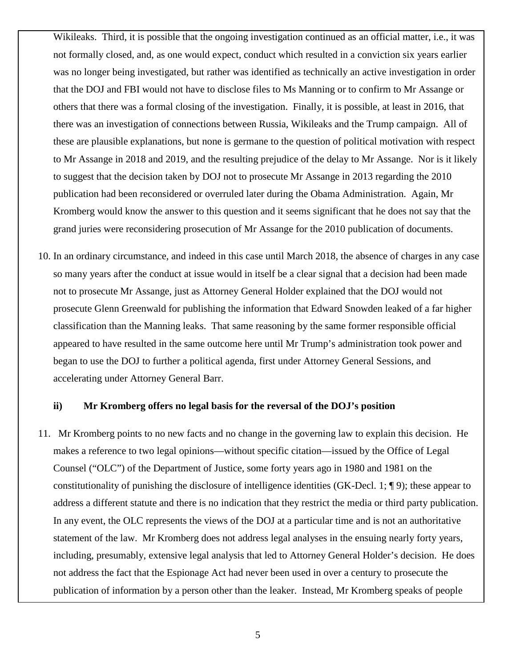Wikileaks. Third, it is possible that the ongoing investigation continued as an official matter, i.e., it was not formally closed, and, as one would expect, conduct which resulted in a conviction six years earlier was no longer being investigated, but rather was identified as technically an active investigation in order that the DOJ and FBI would not have to disclose files to Ms Manning or to confirm to Mr Assange or others that there was a formal closing of the investigation. Finally, it is possible, at least in 2016, that there was an investigation of connections between Russia, Wikileaks and the Trump campaign. All of these are plausible explanations, but none is germane to the question of political motivation with respect to Mr Assange in 2018 and 2019, and the resulting prejudice of the delay to Mr Assange. Nor is it likely to suggest that the decision taken by DOJ not to prosecute Mr Assange in 2013 regarding the 2010 publication had been reconsidered or overruled later during the Obama Administration. Again, Mr Kromberg would know the answer to this question and it seems significant that he does not say that the grand juries were reconsidering prosecution of Mr Assange for the 2010 publication of documents.

10. In an ordinary circumstance, and indeed in this case until March 2018, the absence of charges in any case so many years after the conduct at issue would in itself be a clear signal that a decision had been made not to prosecute Mr Assange, just as Attorney General Holder explained that the DOJ would not prosecute Glenn Greenwald for publishing the information that Edward Snowden leaked of a far higher classification than the Manning leaks. That same reasoning by the same former responsible official appeared to have resulted in the same outcome here until Mr Trump's administration took power and began to use the DOJ to further a political agenda, first under Attorney General Sessions, and accelerating under Attorney General Barr.

#### **ii) Mr Kromberg offers no legal basis for the reversal of the DOJ's position**

11. Mr Kromberg points to no new facts and no change in the governing law to explain this decision. He makes a reference to two legal opinions—without specific citation—issued by the Office of Legal Counsel ("OLC") of the Department of Justice, some forty years ago in 1980 and 1981 on the constitutionality of punishing the disclosure of intelligence identities (GK-Decl. 1; ¶ 9); these appear to address a different statute and there is no indication that they restrict the media or third party publication. In any event, the OLC represents the views of the DOJ at a particular time and is not an authoritative statement of the law. Mr Kromberg does not address legal analyses in the ensuing nearly forty years, including, presumably, extensive legal analysis that led to Attorney General Holder's decision. He does not address the fact that the Espionage Act had never been used in over a century to prosecute the publication of information by a person other than the leaker. Instead, Mr Kromberg speaks of people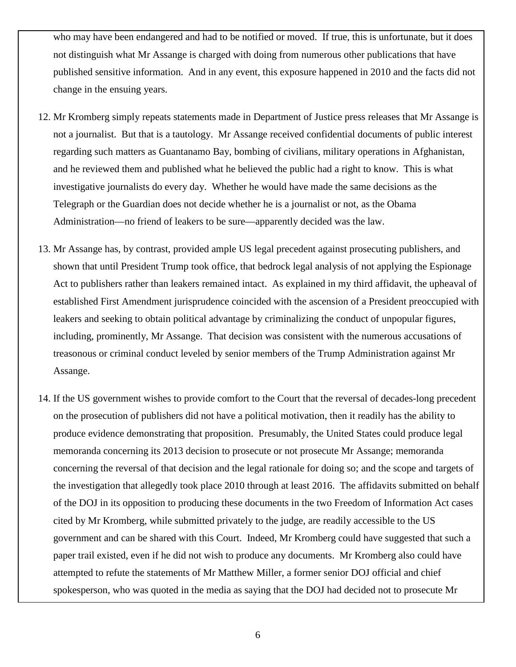who may have been endangered and had to be notified or moved. If true, this is unfortunate, but it does not distinguish what Mr Assange is charged with doing from numerous other publications that have published sensitive information. And in any event, this exposure happened in 2010 and the facts did not change in the ensuing years.

- 12. Mr Kromberg simply repeats statements made in Department of Justice press releases that Mr Assange is not a journalist. But that is a tautology. Mr Assange received confidential documents of public interest regarding such matters as Guantanamo Bay, bombing of civilians, military operations in Afghanistan, and he reviewed them and published what he believed the public had a right to know. This is what investigative journalists do every day. Whether he would have made the same decisions as the Telegraph or the Guardian does not decide whether he is a journalist or not, as the Obama Administration—no friend of leakers to be sure—apparently decided was the law.
- 13. Mr Assange has, by contrast, provided ample US legal precedent against prosecuting publishers, and shown that until President Trump took office, that bedrock legal analysis of not applying the Espionage Act to publishers rather than leakers remained intact. As explained in my third affidavit, the upheaval of established First Amendment jurisprudence coincided with the ascension of a President preoccupied with leakers and seeking to obtain political advantage by criminalizing the conduct of unpopular figures, including, prominently, Mr Assange. That decision was consistent with the numerous accusations of treasonous or criminal conduct leveled by senior members of the Trump Administration against Mr Assange.
- 14. If the US government wishes to provide comfort to the Court that the reversal of decades-long precedent on the prosecution of publishers did not have a political motivation, then it readily has the ability to produce evidence demonstrating that proposition. Presumably, the United States could produce legal memoranda concerning its 2013 decision to prosecute or not prosecute Mr Assange; memoranda concerning the reversal of that decision and the legal rationale for doing so; and the scope and targets of the investigation that allegedly took place 2010 through at least 2016. The affidavits submitted on behalf of the DOJ in its opposition to producing these documents in the two Freedom of Information Act cases cited by Mr Kromberg, while submitted privately to the judge, are readily accessible to the US government and can be shared with this Court. Indeed, Mr Kromberg could have suggested that such a paper trail existed, even if he did not wish to produce any documents. Mr Kromberg also could have attempted to refute the statements of Mr Matthew Miller, a former senior DOJ official and chief spokesperson, who was quoted in the media as saying that the DOJ had decided not to prosecute Mr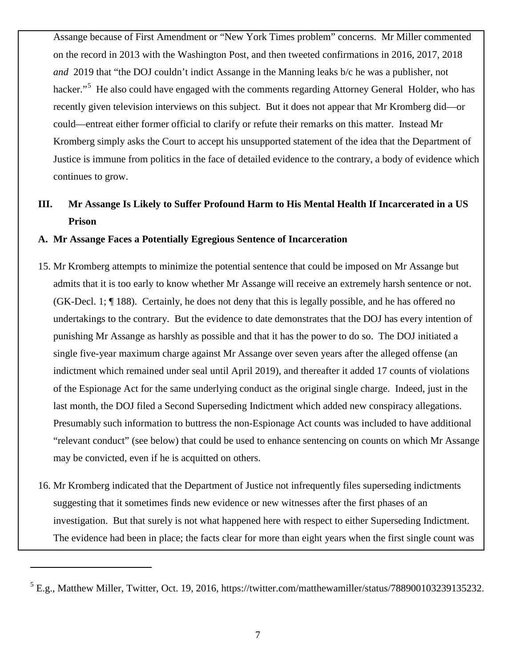Assange because of First Amendment or "New York Times problem" concerns. Mr Miller commented on the record in 2013 with the Washington Post, and then tweeted confirmations in 2016, 2017, 2018 *and* 2019 that "the DOJ couldn't indict Assange in the Manning leaks b/c he was a publisher, not hacker."<sup>[5](#page-6-0)</sup> He also could have engaged with the comments regarding Attorney General Holder, who has recently given television interviews on this subject. But it does not appear that Mr Kromberg did—or could—entreat either former official to clarify or refute their remarks on this matter. Instead Mr Kromberg simply asks the Court to accept his unsupported statement of the idea that the Department of Justice is immune from politics in the face of detailed evidence to the contrary, a body of evidence which continues to grow.

# **III. Mr Assange Is Likely to Suffer Profound Harm to His Mental Health If Incarcerated in a US Prison**

### **A. Mr Assange Faces a Potentially Egregious Sentence of Incarceration**

- 15. Mr Kromberg attempts to minimize the potential sentence that could be imposed on Mr Assange but admits that it is too early to know whether Mr Assange will receive an extremely harsh sentence or not. (GK-Decl. 1; ¶ 188). Certainly, he does not deny that this is legally possible, and he has offered no undertakings to the contrary. But the evidence to date demonstrates that the DOJ has every intention of punishing Mr Assange as harshly as possible and that it has the power to do so. The DOJ initiated a single five-year maximum charge against Mr Assange over seven years after the alleged offense (an indictment which remained under seal until April 2019), and thereafter it added 17 counts of violations of the Espionage Act for the same underlying conduct as the original single charge. Indeed, just in the last month, the DOJ filed a Second Superseding Indictment which added new conspiracy allegations. Presumably such information to buttress the non-Espionage Act counts was included to have additional "relevant conduct" (see below) that could be used to enhance sentencing on counts on which Mr Assange may be convicted, even if he is acquitted on others.
- 16. Mr Kromberg indicated that the Department of Justice not infrequently files superseding indictments suggesting that it sometimes finds new evidence or new witnesses after the first phases of an investigation. But that surely is not what happened here with respect to either Superseding Indictment. The evidence had been in place; the facts clear for more than eight years when the first single count was

<span id="page-6-0"></span> $<sup>5</sup>$  E.g., Matthew Miller, Twitter, Oct. 19, 2016, [https://twitter.com/matthewamiller/status/788900103239135232.](about:blank)</sup>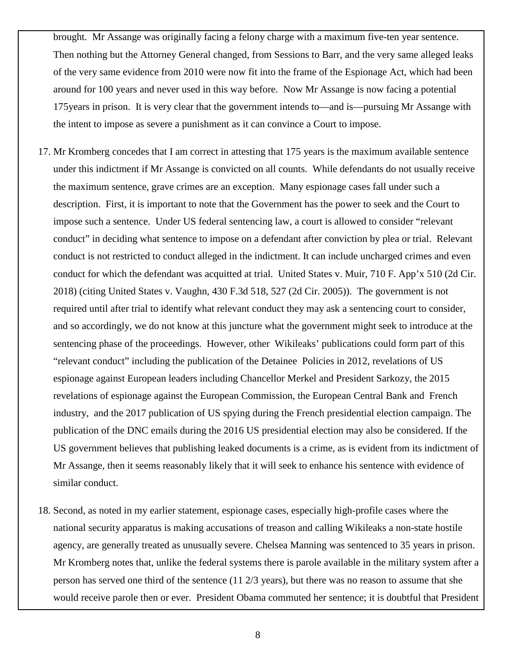brought. Mr Assange was originally facing a felony charge with a maximum five-ten year sentence. Then nothing but the Attorney General changed, from Sessions to Barr, and the very same alleged leaks of the very same evidence from 2010 were now fit into the frame of the Espionage Act, which had been around for 100 years and never used in this way before. Now Mr Assange is now facing a potential 175years in prison. It is very clear that the government intends to—and is—pursuing Mr Assange with the intent to impose as severe a punishment as it can convince a Court to impose.

- 17. Mr Kromberg concedes that I am correct in attesting that 175 years is the maximum available sentence under this indictment if Mr Assange is convicted on all counts. While defendants do not usually receive the maximum sentence, grave crimes are an exception. Many espionage cases fall under such a description. First, it is important to note that the Government has the power to seek and the Court to impose such a sentence. Under US federal sentencing law, a court is allowed to consider "relevant conduct" in deciding what sentence to impose on a defendant after conviction by plea or trial. Relevant conduct is not restricted to conduct alleged in the indictment. It can include uncharged crimes and even conduct for which the defendant was acquitted at trial. United States v. Muir, 710 F. App'x 510 (2d Cir. 2018) (citing United States v. Vaughn, 430 F.3d 518, 527 (2d Cir. 2005)). The government is not required until after trial to identify what relevant conduct they may ask a sentencing court to consider, and so accordingly, we do not know at this juncture what the government might seek to introduce at the sentencing phase of the proceedings. However, other Wikileaks' publications could form part of this "relevant conduct" including the publication of the Detainee Policies in 2012, revelations of US espionage against European leaders including Chancellor Merkel and President Sarkozy, the 2015 revelations of espionage against the European Commission, the European Central Bank and French industry, and the 2017 publication of US spying during the French presidential election campaign. The publication of the DNC emails during the 2016 US presidential election may also be considered. If the US government believes that publishing leaked documents is a crime, as is evident from its indictment of Mr Assange, then it seems reasonably likely that it will seek to enhance his sentence with evidence of similar conduct.
- 18. Second, as noted in my earlier statement, espionage cases, especially high-profile cases where the national security apparatus is making accusations of treason and calling Wikileaks a non-state hostile agency, are generally treated as unusually severe. Chelsea Manning was sentenced to 35 years in prison. Mr Kromberg notes that, unlike the federal systems there is parole available in the military system after a person has served one third of the sentence (11 2/3 years), but there was no reason to assume that she would receive parole then or ever. President Obama commuted her sentence; it is doubtful that President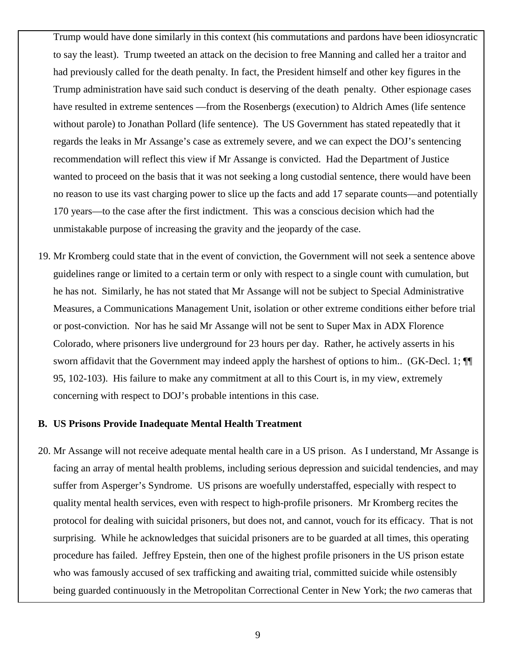Trump would have done similarly in this context (his commutations and pardons have been idiosyncratic to say the least). Trump tweeted an attack on the decision to free Manning and called her a traitor and had previously called for the death penalty. In fact, the President himself and other key figures in the Trump administration have said such conduct is deserving of the death penalty. Other espionage cases have resulted in extreme sentences —from the Rosenbergs (execution) to Aldrich Ames (life sentence without parole) to Jonathan Pollard (life sentence). The US Government has stated repeatedly that it regards the leaks in Mr Assange's case as extremely severe, and we can expect the DOJ's sentencing recommendation will reflect this view if Mr Assange is convicted. Had the Department of Justice wanted to proceed on the basis that it was not seeking a long custodial sentence, there would have been no reason to use its vast charging power to slice up the facts and add 17 separate counts—and potentially 170 years—to the case after the first indictment. This was a conscious decision which had the unmistakable purpose of increasing the gravity and the jeopardy of the case.

19. Mr Kromberg could state that in the event of conviction, the Government will not seek a sentence above guidelines range or limited to a certain term or only with respect to a single count with cumulation, but he has not. Similarly, he has not stated that Mr Assange will not be subject to Special Administrative Measures, a Communications Management Unit, isolation or other extreme conditions either before trial or post-conviction. Nor has he said Mr Assange will not be sent to Super Max in ADX Florence Colorado, where prisoners live underground for 23 hours per day. Rather, he actively asserts in his sworn affidavit that the Government may indeed apply the harshest of options to him.. (GK-Decl. 1;  $\P$ 95, 102-103). His failure to make any commitment at all to this Court is, in my view, extremely concerning with respect to DOJ's probable intentions in this case.

### **B. US Prisons Provide Inadequate Mental Health Treatment**

20. Mr Assange will not receive adequate mental health care in a US prison. As I understand, Mr Assange is facing an array of mental health problems, including serious depression and suicidal tendencies, and may suffer from Asperger's Syndrome. US prisons are woefully understaffed, especially with respect to quality mental health services, even with respect to high-profile prisoners. Mr Kromberg recites the protocol for dealing with suicidal prisoners, but does not, and cannot, vouch for its efficacy. That is not surprising. While he acknowledges that suicidal prisoners are to be guarded at all times, this operating procedure has failed. Jeffrey Epstein, then one of the highest profile prisoners in the US prison estate who was famously accused of sex trafficking and awaiting trial, committed suicide while ostensibly being guarded continuously in the Metropolitan Correctional Center in New York; the *two* cameras that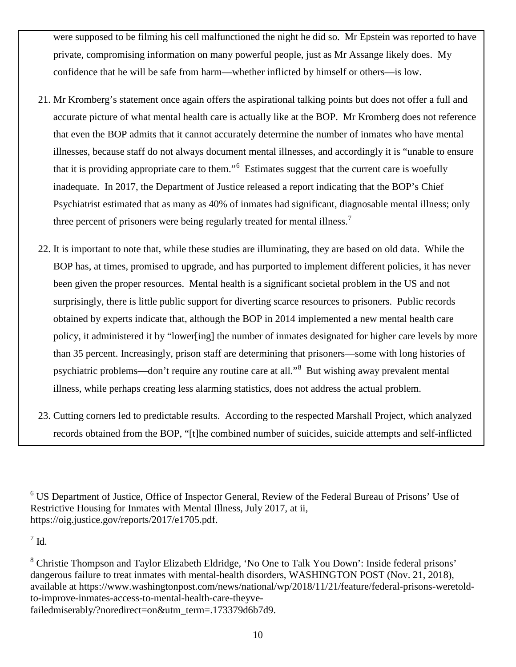were supposed to be filming his cell malfunctioned the night he did so. Mr Epstein was reported to have private, compromising information on many powerful people, just as Mr Assange likely does. My confidence that he will be safe from harm—whether inflicted by himself or others—is low.

- 21. Mr Kromberg's statement once again offers the aspirational talking points but does not offer a full and accurate picture of what mental health care is actually like at the BOP. Mr Kromberg does not reference that even the BOP admits that it cannot accurately determine the number of inmates who have mental illnesses, because staff do not always document mental illnesses, and accordingly it is "unable to ensure that it is providing appropriate care to them."[6](#page-9-0) Estimates suggest that the current care is woefully inadequate. In 2017, the Department of Justice released a report indicating that the BOP's Chief Psychiatrist estimated that as many as 40% of inmates had significant, diagnosable mental illness; only three percent of prisoners were being regularly treated for mental illness.<sup>[7](#page-9-1)</sup>
- 22. It is important to note that, while these studies are illuminating, they are based on old data. While the BOP has, at times, promised to upgrade, and has purported to implement different policies, it has never been given the proper resources. Mental health is a significant societal problem in the US and not surprisingly, there is little public support for diverting scarce resources to prisoners. Public records obtained by experts indicate that, although the BOP in 2014 implemented a new mental health care policy, it administered it by "lower[ing] the number of inmates designated for higher care levels by more than 35 percent. Increasingly, prison staff are determining that prisoners—some with long histories of psychiatric problems—don't require any routine care at all."<sup>[8](#page-9-2)</sup> But wishing away prevalent mental illness, while perhaps creating less alarming statistics, does not address the actual problem.
- 23. Cutting corners led to predictable results. According to the respected Marshall Project, which analyzed records obtained from the BOP, "[t]he combined number of suicides, suicide attempts and self-inflicted

<span id="page-9-1"></span> $^7$  Id.

<span id="page-9-0"></span><sup>6</sup> US Department of Justice, Office of Inspector General, Review of the Federal Bureau of Prisons' Use of Restrictive Housing for Inmates with Mental Illness, July 2017, at ii, [https://oig.justice.gov/reports/2017/e1705.pdf.](about:blank)

<span id="page-9-2"></span><sup>&</sup>lt;sup>8</sup> Christie Thompson and Taylor Elizabeth Eldridge, 'No One to Talk You Down': Inside federal prisons' dangerous failure to treat inmates with mental-health disorders, WASHINGTON POST (Nov. 21, 2018), available at [https://www.washingtonpost.com/news/national/wp/2018/11/21/feature/federal-prisons-weretold](about:blank)[to-improve-inmates-access-to-mental-health-care-theyve](about:blank)[failedmiserably/?noredirect=on&utm\\_term=.173379d6b7d9.](about:blank)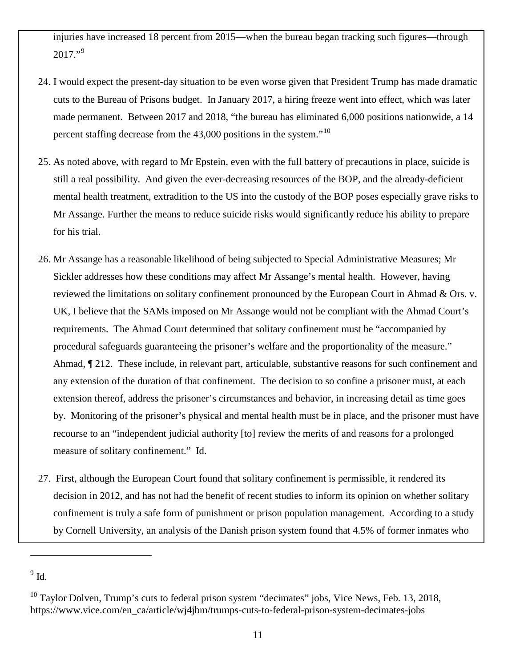injuries have increased 18 percent from 2015—when the bureau began tracking such figures—through  $2017."$ <sup>[9](#page-10-0)</sup>

- 24. I would expect the present-day situation to be even worse given that President Trump has made dramatic cuts to the Bureau of Prisons budget. In January 2017, a hiring freeze went into effect, which was later made permanent. Between 2017 and 2018, "the bureau has eliminated 6,000 positions nationwide, a 14 percent staffing decrease from the  $43,000$  positions in the system."<sup>[10](#page-10-1)</sup>
- 25. As noted above, with regard to Mr Epstein, even with the full battery of precautions in place, suicide is still a real possibility. And given the ever-decreasing resources of the BOP, and the already-deficient mental health treatment, extradition to the US into the custody of the BOP poses especially grave risks to Mr Assange. Further the means to reduce suicide risks would significantly reduce his ability to prepare for his trial.
- 26. Mr Assange has a reasonable likelihood of being subjected to Special Administrative Measures; Mr Sickler addresses how these conditions may affect Mr Assange's mental health. However, having reviewed the limitations on solitary confinement pronounced by the European Court in Ahmad & Ors. v. UK, I believe that the SAMs imposed on Mr Assange would not be compliant with the Ahmad Court's requirements. The Ahmad Court determined that solitary confinement must be "accompanied by procedural safeguards guaranteeing the prisoner's welfare and the proportionality of the measure." Ahmad, ¶ 212. These include, in relevant part, articulable, substantive reasons for such confinement and any extension of the duration of that confinement. The decision to so confine a prisoner must, at each extension thereof, address the prisoner's circumstances and behavior, in increasing detail as time goes by. Monitoring of the prisoner's physical and mental health must be in place, and the prisoner must have recourse to an "independent judicial authority [to] review the merits of and reasons for a prolonged measure of solitary confinement." Id.
- 27. First, although the European Court found that solitary confinement is permissible, it rendered its decision in 2012, and has not had the benefit of recent studies to inform its opinion on whether solitary confinement is truly a safe form of punishment or prison population management. According to a study by Cornell University, an analysis of the Danish prison system found that 4.5% of former inmates who

<span id="page-10-0"></span> $^9$  Id.  $\,$ 

<span id="page-10-1"></span> $^{10}$  Taylor Dolven, Trump's cuts to federal prison system "decimates" jobs, Vice News, Feb. 13, 2018, [https://www.vice.com/en\\_ca/article/wj4jbm/trumps-cuts-to-federal-prison-system-decimates-jobs](about:blank)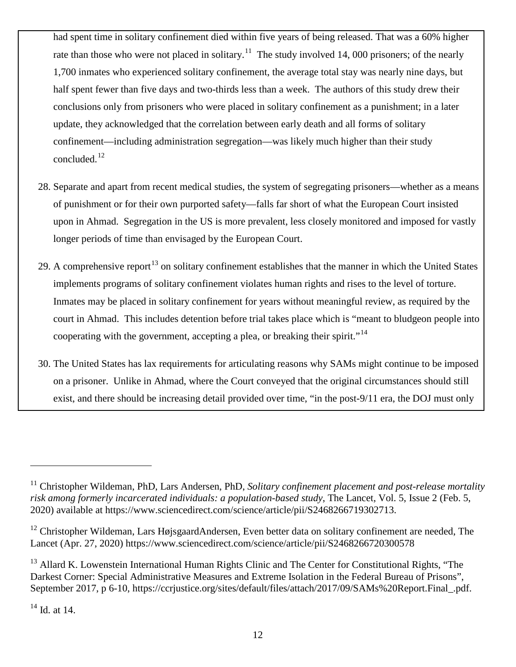had spent time in solitary confinement died within five years of being released. That was a 60% higher rate than those who were not placed in solitary.<sup>11</sup> The study involved 14, 000 prisoners; of the nearly 1,700 inmates who experienced solitary confinement, the average total stay was nearly nine days, but half spent fewer than five days and two-thirds less than a week. The authors of this study drew their conclusions only from prisoners who were placed in solitary confinement as a punishment; in a later update, they acknowledged that the correlation between early death and all forms of solitary confinement—including administration segregation—was likely much higher than their study concluded.[12](#page-11-1)

- 28. Separate and apart from recent medical studies, the system of segregating prisoners—whether as a means of punishment or for their own purported safety—falls far short of what the European Court insisted upon in Ahmad. Segregation in the US is more prevalent, less closely monitored and imposed for vastly longer periods of time than envisaged by the European Court.
- 29. A comprehensive report<sup>[13](#page-11-2)</sup> on solitary confinement establishes that the manner in which the United States implements programs of solitary confinement violates human rights and rises to the level of torture. Inmates may be placed in solitary confinement for years without meaningful review, as required by the court in Ahmad. This includes detention before trial takes place which is "meant to bludgeon people into cooperating with the government, accepting a plea, or breaking their spirit."<sup>[14](#page-11-3)</sup>
- 30. The United States has lax requirements for articulating reasons why SAMs might continue to be imposed on a prisoner. Unlike in Ahmad, where the Court conveyed that the original circumstances should still exist, and there should be increasing detail provided over time, "in the post-9/11 era, the DOJ must only

<span id="page-11-0"></span><sup>&</sup>lt;sup>11</sup> Christopher Wildeman, PhD, Lars Andersen, PhD, *Solitary confinement placement and post-release mortality risk among formerly incarcerated individuals: a population-based study*, The Lancet, Vol. 5, Issue 2 (Feb. 5, 2020) available at [https://www.sciencedirect.com/science/article/pii/S2468266719302713.](about:blank)

<span id="page-11-1"></span><sup>&</sup>lt;sup>12</sup> Christopher Wildeman, Lars HøjsgaardAndersen, Even better data on solitary confinement are needed, The Lancet (Apr. 27, 2020) [https://www.sciencedirect.com/science/article/pii/S2468266720300578](about:blank)

<span id="page-11-2"></span><sup>&</sup>lt;sup>13</sup> Allard K. Lowenstein International Human Rights Clinic and The Center for Constitutional Rights, "The Darkest Corner: Special Administrative Measures and Extreme Isolation in the Federal Bureau of Prisons", September 2017, p 6-10, [https://ccrjustice.org/sites/default/files/attach/2017/09/SAMs%20Report.Final\\_.pdf.](about:blank)

<span id="page-11-3"></span> $14$  Id. at 14.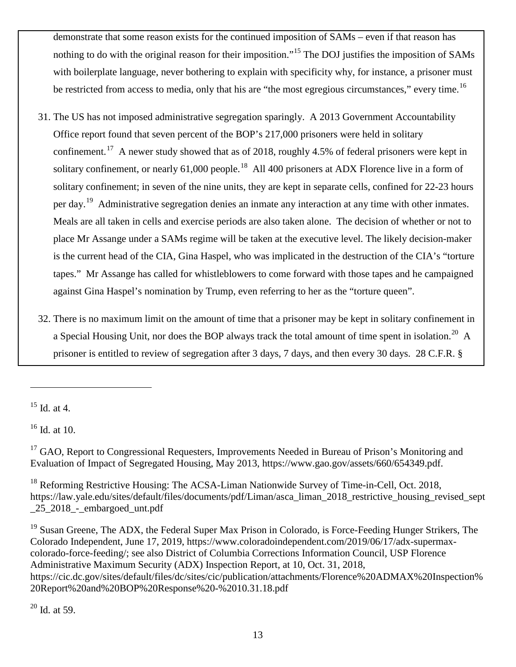demonstrate that some reason exists for the continued imposition of SAMs – even if that reason has nothing to do with the original reason for their imposition."[15](#page-12-0) The DOJ justifies the imposition of SAMs with boilerplate language, never bothering to explain with specificity why, for instance, a prisoner must be restricted from access to media, only that his are "the most egregious circumstances," every time.<sup>16</sup>

- 31. The US has not imposed administrative segregation sparingly. A 2013 Government Accountability Office report found that seven percent of the BOP's 217,000 prisoners were held in solitary confinement.<sup>17</sup> A newer study showed that as of 2018, roughly 4.5% of federal prisoners were kept in solitary confinement, or nearly 61,000 people.<sup>18</sup> All 400 prisoners at ADX Florence live in a form of solitary confinement; in seven of the nine units, they are kept in separate cells, confined for 22-23 hours per day.<sup>19</sup> Administrative segregation denies an inmate any interaction at any time with other inmates. Meals are all taken in cells and exercise periods are also taken alone. The decision of whether or not to place Mr Assange under a SAMs regime will be taken at the executive level. The likely decision-maker is the current head of the CIA, Gina Haspel, who was implicated in the destruction of the CIA's "torture tapes." Mr Assange has called for whistleblowers to come forward with those tapes and he campaigned against Gina Haspel's nomination by Trump, even referring to her as the "torture queen".
- 32. There is no maximum limit on the amount of time that a prisoner may be kept in solitary confinement in a Special Housing Unit, nor does the BOP always track the total amount of time spent in isolation.<sup>[20](#page-12-5)</sup> A prisoner is entitled to review of segregation after 3 days, 7 days, and then every 30 days. 28 C.F.R. §

 $\overline{a}$ 

<span id="page-12-1"></span><sup>16</sup> Id. at 10.

<span id="page-12-0"></span><sup>15</sup> Id. at 4.

<span id="page-12-2"></span><sup>&</sup>lt;sup>17</sup> GAO, Report to Congressional Requesters, Improvements Needed in Bureau of Prison's Monitoring and Evaluation of Impact of Segregated Housing, May 2013, [https://www.gao.gov/assets/660/654349.pdf.](about:blank)

<span id="page-12-3"></span><sup>&</sup>lt;sup>18</sup> Reforming Restrictive Housing: The ACSA-Liman Nationwide Survey of Time-in-Cell, Oct. 2018, [https://law.yale.edu/sites/default/files/documents/pdf/Liman/asca\\_liman\\_2018\\_restrictive\\_housing\\_revised\\_sept](about:blank) [\\_25\\_2018\\_-\\_embargoed\\_unt.pdf](about:blank)

<span id="page-12-5"></span><span id="page-12-4"></span><sup>&</sup>lt;sup>19</sup> Susan Greene, The ADX, the Federal Super Max Prison in Colorado, is Force-Feeding Hunger Strikers, The Colorado Independent, June 17, 2019, [https://www.coloradoindependent.com/2019/06/17/adx-supermax](about:blank)[colorado-force-feeding/;](about:blank) see also District of Columbia Corrections Information Council, USP Florence Administrative Maximum Security (ADX) Inspection Report, at 10, Oct. 31, 2018, https://cic.dc.gov/sites/default/files/dc/sites/cic/publication/attachments/Florence%20ADMAX%20Inspection% 20Report%20and%20BOP%20Response%20-%2010.31.18.pdf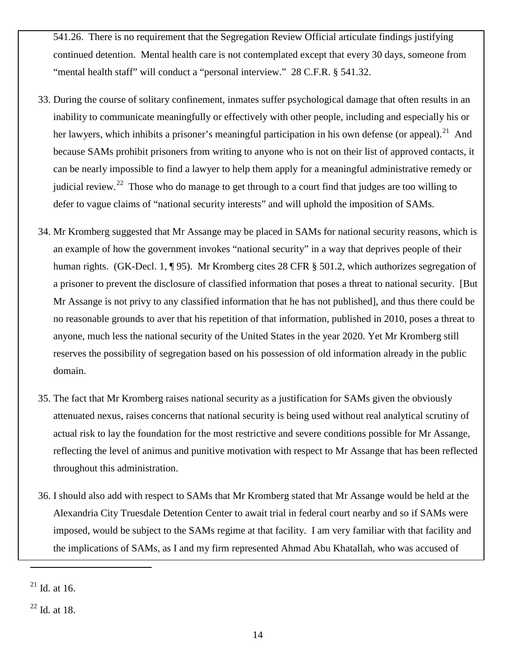541.26. There is no requirement that the Segregation Review Official articulate findings justifying continued detention. Mental health care is not contemplated except that every 30 days, someone from "mental health staff" will conduct a "personal interview." 28 C.F.R. § 541.32.

- 33. During the course of solitary confinement, inmates suffer psychological damage that often results in an inability to communicate meaningfully or effectively with other people, including and especially his or her lawyers, which inhibits a prisoner's meaningful participation in his own defense (or appeal).<sup>21</sup> And because SAMs prohibit prisoners from writing to anyone who is not on their list of approved contacts, it can be nearly impossible to find a lawyer to help them apply for a meaningful administrative remedy or judicial review.<sup>22</sup> Those who do manage to get through to a court find that judges are too willing to defer to vague claims of "national security interests" and will uphold the imposition of SAMs.
- 34. Mr Kromberg suggested that Mr Assange may be placed in SAMs for national security reasons, which is an example of how the government invokes "national security" in a way that deprives people of their human rights. (GK-Decl. 1, 195). Mr Kromberg cites 28 CFR § 501.2, which authorizes segregation of a prisoner to prevent the disclosure of classified information that poses a threat to national security. [But Mr Assange is not privy to any classified information that he has not published], and thus there could be no reasonable grounds to aver that his repetition of that information, published in 2010, poses a threat to anyone, much less the national security of the United States in the year 2020. Yet Mr Kromberg still reserves the possibility of segregation based on his possession of old information already in the public domain.
- 35. The fact that Mr Kromberg raises national security as a justification for SAMs given the obviously attenuated nexus, raises concerns that national security is being used without real analytical scrutiny of actual risk to lay the foundation for the most restrictive and severe conditions possible for Mr Assange, reflecting the level of animus and punitive motivation with respect to Mr Assange that has been reflected throughout this administration.
- 36. I should also add with respect to SAMs that Mr Kromberg stated that Mr Assange would be held at the Alexandria City Truesdale Detention Center to await trial in federal court nearby and so if SAMs were imposed, would be subject to the SAMs regime at that facility. I am very familiar with that facility and the implications of SAMs, as I and my firm represented Ahmad Abu Khatallah, who was accused of

<span id="page-13-0"></span> $21$  Id. at 16.

<span id="page-13-1"></span> $22$  Id. at 18.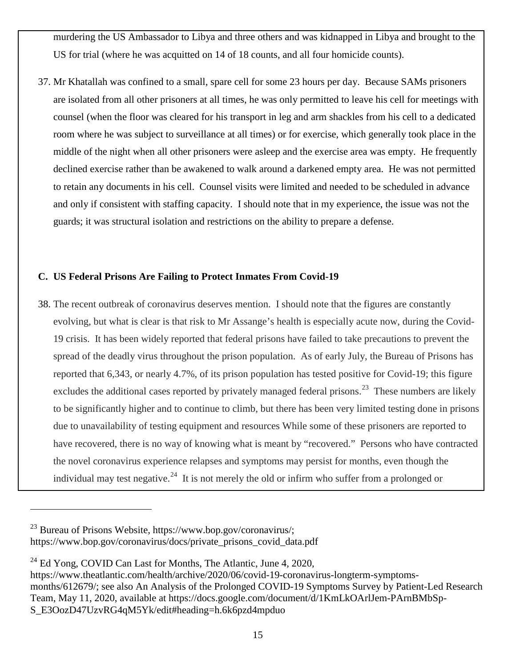murdering the US Ambassador to Libya and three others and was kidnapped in Libya and brought to the US for trial (where he was acquitted on 14 of 18 counts, and all four homicide counts).

37. Mr Khatallah was confined to a small, spare cell for some 23 hours per day. Because SAMs prisoners are isolated from all other prisoners at all times, he was only permitted to leave his cell for meetings with counsel (when the floor was cleared for his transport in leg and arm shackles from his cell to a dedicated room where he was subject to surveillance at all times) or for exercise, which generally took place in the middle of the night when all other prisoners were asleep and the exercise area was empty. He frequently declined exercise rather than be awakened to walk around a darkened empty area. He was not permitted to retain any documents in his cell. Counsel visits were limited and needed to be scheduled in advance and only if consistent with staffing capacity. I should note that in my experience, the issue was not the guards; it was structural isolation and restrictions on the ability to prepare a defense.

## **C. US Federal Prisons Are Failing to Protect Inmates From Covid-19**

38. The recent outbreak of coronavirus deserves mention. I should note that the figures are constantly evolving, but what is clear is that risk to Mr Assange's health is especially acute now, during the Covid-19 crisis. It has been widely reported that federal prisons have failed to take precautions to prevent the spread of the deadly virus throughout the prison population. As of early July, the Bureau of Prisons has reported that 6,343, or nearly 4.7%, of its prison population has tested positive for Covid-19; this figure excludes the additional cases reported by privately managed federal prisons.<sup>[23](#page-14-0)</sup> These numbers are likely to be significantly higher and to continue to climb, but there has been very limited testing done in prisons due to unavailability of testing equipment and resources While some of these prisoners are reported to have recovered, there is no way of knowing what is meant by "recovered." Persons who have contracted the novel coronavirus experience relapses and symptoms may persist for months, even though the individual may test negative.<sup>[24](#page-14-1)</sup> It is not merely the old or infirm who suffer from a prolonged or

<span id="page-14-0"></span> $^{23}$  Bureau of Prisons Website, [https://www.bop.gov/coronavirus/;](about:blank) [https://www.bop.gov/coronavirus/docs/private\\_prisons\\_covid\\_data.pdf](about:blank)

<span id="page-14-1"></span> $^{24}$  Ed Yong, COVID Can Last for Months, The Atlantic, June 4, 2020,

[https://www.theatlantic.com/health/archive/2020/06/covid-19-coronavirus-longterm-symptoms](about:blank)[months/612679/;](about:blank) see also An Analysis of the Prolonged COVID-19 Symptoms Survey by Patient-Led Research Team, May 11, 2020, available at [https://docs.google.com/document/d/1KmLkOArlJem-PArnBMbSp-](about:blank#heading=h.6k6pzd4mpduo)[S\\_E3OozD47UzvRG4qM5Yk/edit#heading=h.6k6pzd4mpduo](about:blank#heading=h.6k6pzd4mpduo)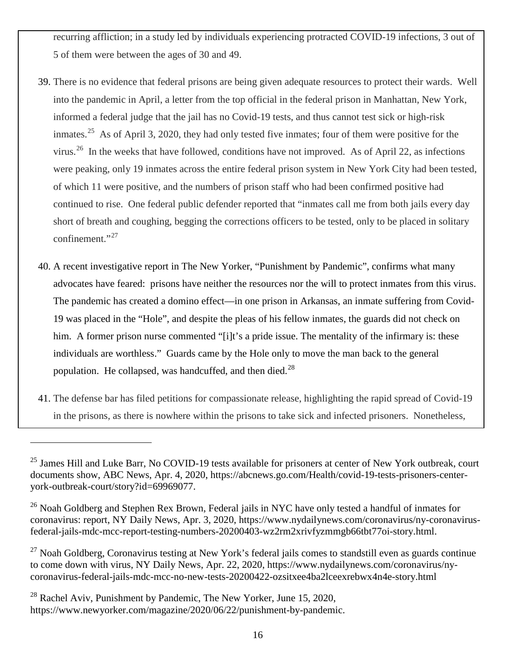recurring affliction; in a study led by individuals experiencing protracted COVID-19 infections, 3 out of 5 of them were between the ages of 30 and 49.

- 39. There is no evidence that federal prisons are being given adequate resources to protect their wards. Well into the pandemic in April, a letter from the top official in the federal prison in Manhattan, New York, informed a federal judge that the jail has no Covid-19 tests, and thus cannot test sick or high-risk inmates.<sup>[25](#page-15-0)</sup> As of April 3, 2020, they had only tested five inmates; four of them were positive for the virus.<sup>26</sup> In the weeks that have followed, conditions have not improved. As of April 22, as infections were peaking, only 19 inmates across the entire federal prison system in New York City had been tested, of which 11 were positive, and the numbers of prison staff who had been confirmed positive had continued to rise. One federal public defender reported that "inmates call me from both jails every day short of breath and coughing, begging the corrections officers to be tested, only to be placed in solitary confinement." $^{27}$  $^{27}$  $^{27}$
- 40. A recent investigative report in The New Yorker, "Punishment by Pandemic", confirms what many advocates have feared: prisons have neither the resources nor the will to protect inmates from this virus. The pandemic has created a domino effect—in one prison in Arkansas, an inmate suffering from Covid-19 was placed in the "Hole", and despite the pleas of his fellow inmates, the guards did not check on him. A former prison nurse commented "[i]t's a pride issue. The mentality of the infirmary is: these individuals are worthless." Guards came by the Hole only to move the man back to the general population. He collapsed, was handcuffed, and then died.<sup>28</sup>
- 41. The defense bar has filed petitions for compassionate release, highlighting the rapid spread of Covid-19 in the prisons, as there is nowhere within the prisons to take sick and infected prisoners. Nonetheless,

<span id="page-15-3"></span> $^{28}$  Rachel Aviv, Punishment by Pandemic, The New Yorker, June 15, 2020, [https://www.newyorker.com/magazine/2020/06/22/punishment-by-pandemic.](about:blank)

<span id="page-15-0"></span><sup>&</sup>lt;sup>25</sup> James Hill and Luke Barr, No COVID-19 tests available for prisoners at center of New York outbreak, court documents show, ABC News, Apr. 4, 2020, [https://abcnews.go.com/Health/covid-19-tests-prisoners-center](about:blank)[york-outbreak-court/story?id=69969077.](about:blank)

<span id="page-15-1"></span><sup>&</sup>lt;sup>26</sup> Noah Goldberg and Stephen Rex Brown, Federal jails in NYC have only tested a handful of inmates for coronavirus: report, NY Daily News, Apr. 3, 2020, https://www.nydailynews.com/coronavirus/ny-coronavirusfederal-jails-mdc-mcc-report-testing-numbers-20200403-wz2rm2xrivfyzmmgb66tbt77oi-story.html.

<span id="page-15-2"></span> $^{27}$  Noah Goldberg, Coronavirus testing at New York's federal jails comes to standstill even as guards continue to come down with virus, NY Daily News, Apr. 22, 2020, [https://www.nydailynews.com/coronavirus/ny](about:blank)[coronavirus-federal-jails-mdc-mcc-no-new-tests-20200422-ozsitxee4ba2lceexrebwx4n4e-story.html](about:blank)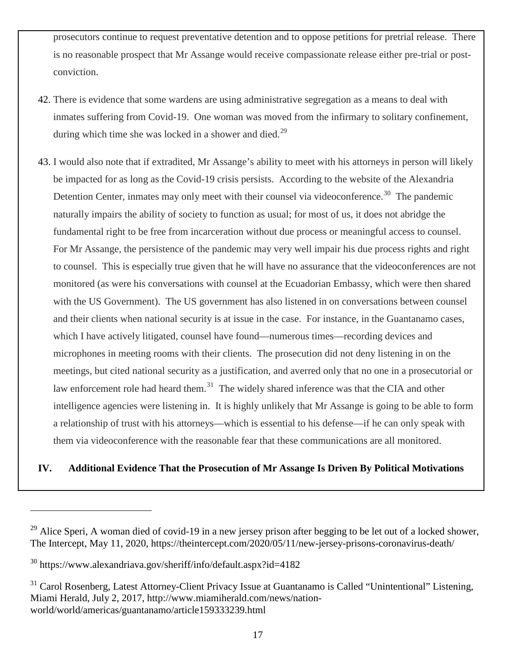prosecutors continue to request preventative detention and to oppose petitions for pretrial release. There is no reasonable prospect that Mr Assange would receive compassionate release either pre-trial or postconviction.

- 42. There is evidence that some wardens are using administrative segregation as a means to deal with inmates suffering from Covid-19. One woman was moved from the infirmary to solitary confinement, during which time she was locked in a shower and died.<sup>[29](#page-16-0)</sup>
- 43. I would also note that if extradited, Mr Assange's ability to meet with his attorneys in person will likely be impacted for as long as the Covid-19 crisis persists. According to the website of the Alexandria Detention Center, inmates may only meet with their counsel via videoconference.<sup>30</sup> The pandemic naturally impairs the ability of society to function as usual; for most of us, it does not abridge the fundamental right to be free from incarceration without due process or meaningful access to counsel. For Mr Assange, the persistence of the pandemic may very well impair his due process rights and right to counsel. This is especially true given that he will have no assurance that the videoconferences are not monitored (as were his conversations with counsel at the Ecuadorian Embassy, which were then shared with the US Government). The US government has also listened in on conversations between counsel and their clients when national security is at issue in the case. For instance, in the Guantanamo cases, which I have actively litigated, counsel have found—numerous times—recording devices and microphones in meeting rooms with their clients. The prosecution did not deny listening in on the meetings, but cited national security as a justification, and averred only that no one in a prosecutorial or law enforcement role had heard them.<sup>31</sup> The widely shared inference was that the CIA and other intelligence agencies were listening in. It is highly unlikely that Mr Assange is going to be able to form a relationship of trust with his attorneys—which is essential to his defense—if he can only speak with them via videoconference with the reasonable fear that these communications are all monitored.

## **IV. Additional Evidence That the Prosecution of Mr Assange Is Driven By Political Motivations**

<span id="page-16-0"></span><sup>&</sup>lt;sup>29</sup> Alice Speri, A woman died of covid-19 in a new jersey prison after begging to be let out of a locked shower, The Intercept, May 11, 2020, [https://theintercept.com/2020/05/11/new-jersey-prisons-coronavirus-death/](about:blank)

<span id="page-16-1"></span><sup>30</sup> [https://www.alexandriava.gov/sheriff/info/default.aspx?id=4182](about:blank)

<span id="page-16-2"></span><sup>&</sup>lt;sup>31</sup> Carol Rosenberg, Latest Attorney-Client Privacy Issue at Guantanamo is Called "Unintentional" Listening, Miami Herald, July 2, 2017, [http://www.miamiherald.com/news/nation](about:blank)[world/world/americas/guantanamo/article159333239.html](about:blank)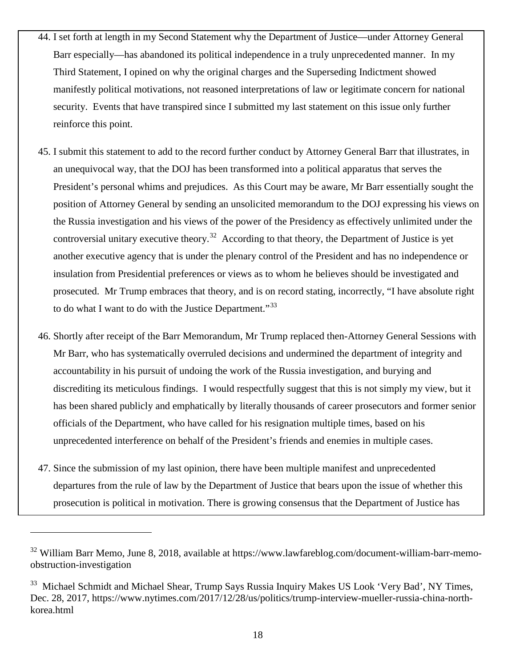- 44. I set forth at length in my Second Statement why the Department of Justice—under Attorney General Barr especially—has abandoned its political independence in a truly unprecedented manner. In my Third Statement, I opined on why the original charges and the Superseding Indictment showed manifestly political motivations, not reasoned interpretations of law or legitimate concern for national security. Events that have transpired since I submitted my last statement on this issue only further reinforce this point.
- 45. I submit this statement to add to the record further conduct by Attorney General Barr that illustrates, in an unequivocal way, that the DOJ has been transformed into a political apparatus that serves the President's personal whims and prejudices. As this Court may be aware, Mr Barr essentially sought the position of Attorney General by sending an unsolicited memorandum to the DOJ expressing his views on the Russia investigation and his views of the power of the Presidency as effectively unlimited under the controversial unitary executive theory.<sup>[32](#page-17-0)</sup> According to that theory, the Department of Justice is yet another executive agency that is under the plenary control of the President and has no independence or insulation from Presidential preferences or views as to whom he believes should be investigated and prosecuted. Mr Trump embraces that theory, and is on record stating, incorrectly, "I have absolute right to do what I want to do with the Justice Department."<sup>[33](#page-17-1)</sup>
- 46. Shortly after receipt of the Barr Memorandum, Mr Trump replaced then-Attorney General Sessions with Mr Barr, who has systematically overruled decisions and undermined the department of integrity and accountability in his pursuit of undoing the work of the Russia investigation, and burying and discrediting its meticulous findings. I would respectfully suggest that this is not simply my view, but it has been shared publicly and emphatically by literally thousands of career prosecutors and former senior officials of the Department, who have called for his resignation multiple times, based on his unprecedented interference on behalf of the President's friends and enemies in multiple cases.
- 47. Since the submission of my last opinion, there have been multiple manifest and unprecedented departures from the rule of law by the Department of Justice that bears upon the issue of whether this prosecution is political in motivation. There is growing consensus that the Department of Justice has

<span id="page-17-0"></span> $32$  William Barr Memo, June 8, 2018, available at [https://www.lawfareblog.com/document-william-barr-memo](about:blank)[obstruction-investigation](about:blank)

<span id="page-17-1"></span><sup>&</sup>lt;sup>33</sup> Michael Schmidt and Michael Shear, Trump Says Russia Inquiry Makes US Look 'Very Bad', NY Times, Dec. 28, 2017, [https://www.nytimes.com/2017/12/28/us/politics/trump-interview-mueller-russia-china-north](about:blank)[korea.html](about:blank)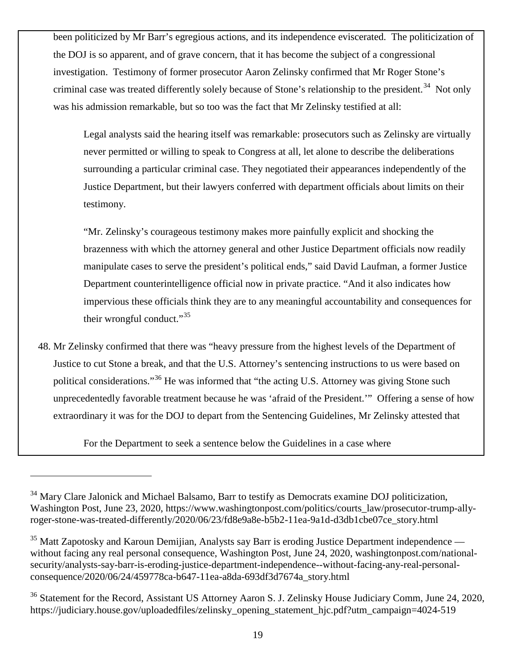been politicized by Mr Barr's egregious actions, and its independence eviscerated. The politicization of the DOJ is so apparent, and of grave concern, that it has become the subject of a congressional investigation. Testimony of former prosecutor Aaron Zelinsky confirmed that Mr Roger Stone's criminal case was treated differently solely because of Stone's relationship to the president.<sup>34</sup> Not only was his admission remarkable, but so too was the fact that Mr Zelinsky testified at all:

Legal analysts said the hearing itself was remarkable: prosecutors such as Zelinsky are virtually never permitted or willing to speak to Congress at all, let alone to describe the deliberations surrounding a particular criminal case. They negotiated their appearances independently of the Justice Department, but their lawyers conferred with department officials about limits on their testimony.

"Mr. Zelinsky's courageous testimony makes more painfully explicit and shocking the brazenness with which the attorney general and other Justice Department officials now readily manipulate cases to serve the president's political ends," said David Laufman, a former Justice Department counterintelligence official now in private practice. "And it also indicates how impervious these officials think they are to any meaningful accountability and consequences for their wrongful conduct."[35](#page-18-1)

48. Mr Zelinsky confirmed that there was "heavy pressure from the highest levels of the Department of Justice to cut Stone a break, and that the U.S. Attorney's sentencing instructions to us were based on political considerations."[36](#page-18-2) He was informed that "the acting U.S. Attorney was giving Stone such unprecedentedly favorable treatment because he was 'afraid of the President.'" Offering a sense of how extraordinary it was for the DOJ to depart from the Sentencing Guidelines, Mr Zelinsky attested that

For the Department to seek a sentence below the Guidelines in a case where

<span id="page-18-0"></span><sup>&</sup>lt;sup>34</sup> Mary Clare Jalonick and Michael Balsamo, Barr to testify as Democrats examine DOJ politicization, Washington Post, June 23, 2020, [https://www.washingtonpost.com/politics/courts\\_law/prosecutor-trump-ally](about:blank)[roger-stone-was-treated-differently/2020/06/23/fd8e9a8e-b5b2-11ea-9a1d-d3db1cbe07ce\\_story.html](about:blank)

<span id="page-18-1"></span> $35$  Matt Zapotosky and Karoun Demijian, Analysts say Barr is eroding Justice Department independence without facing any real personal consequence, Washington Post, June 24, 2020, washingtonpost.com/nationalsecurity/analysts-say-barr-is-eroding-justice-department-independence--without-facing-any-real-personalconsequence/2020/06/24/459778ca-b647-11ea-a8da-693df3d7674a\_story.html

<span id="page-18-2"></span><sup>&</sup>lt;sup>36</sup> Statement for the Record, Assistant US Attorney Aaron S. J. Zelinsky House Judiciary Comm, June 24, 2020, [https://judiciary.house.gov/uploadedfiles/zelinsky\\_opening\\_statement\\_hjc.pdf?utm\\_campaign=4024-519](about:blank)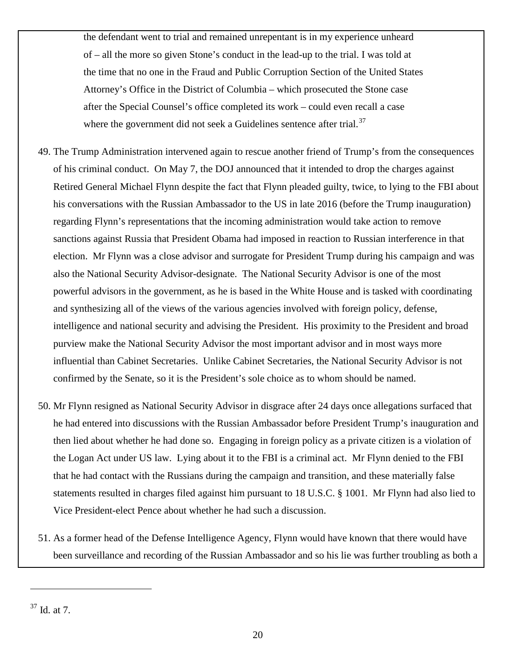the defendant went to trial and remained unrepentant is in my experience unheard of – all the more so given Stone's conduct in the lead-up to the trial. I was told at the time that no one in the Fraud and Public Corruption Section of the United States Attorney's Office in the District of Columbia – which prosecuted the Stone case after the Special Counsel's office completed its work – could even recall a case where the government did not seek a Guidelines sentence after trial. $37$ 

- 49. The Trump Administration intervened again to rescue another friend of Trump's from the consequences of his criminal conduct. On May 7, the DOJ announced that it intended to drop the charges against Retired General Michael Flynn despite the fact that Flynn pleaded guilty, twice, to lying to the FBI about his conversations with the Russian Ambassador to the US in late 2016 (before the Trump inauguration) regarding Flynn's representations that the incoming administration would take action to remove sanctions against Russia that President Obama had imposed in reaction to Russian interference in that election. Mr Flynn was a close advisor and surrogate for President Trump during his campaign and was also the National Security Advisor-designate. The National Security Advisor is one of the most powerful advisors in the government, as he is based in the White House and is tasked with coordinating and synthesizing all of the views of the various agencies involved with foreign policy, defense, intelligence and national security and advising the President. His proximity to the President and broad purview make the National Security Advisor the most important advisor and in most ways more influential than Cabinet Secretaries. Unlike Cabinet Secretaries, the National Security Advisor is not confirmed by the Senate, so it is the President's sole choice as to whom should be named.
- 50. Mr Flynn resigned as National Security Advisor in disgrace after 24 days once allegations surfaced that he had entered into discussions with the Russian Ambassador before President Trump's inauguration and then lied about whether he had done so. Engaging in foreign policy as a private citizen is a violation of the Logan Act under US law. Lying about it to the FBI is a criminal act. Mr Flynn denied to the FBI that he had contact with the Russians during the campaign and transition, and these materially false statements resulted in charges filed against him pursuant to 18 U.S.C. § 1001. Mr Flynn had also lied to Vice President-elect Pence about whether he had such a discussion.
- 51. As a former head of the Defense Intelligence Agency, Flynn would have known that there would have been surveillance and recording of the Russian Ambassador and so his lie was further troubling as both a

<span id="page-19-0"></span> $37$  Id. at 7.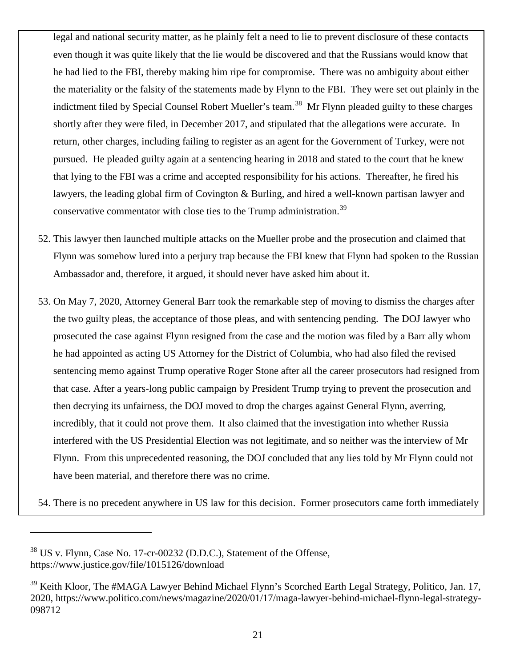legal and national security matter, as he plainly felt a need to lie to prevent disclosure of these contacts even though it was quite likely that the lie would be discovered and that the Russians would know that he had lied to the FBI, thereby making him ripe for compromise. There was no ambiguity about either the materiality or the falsity of the statements made by Flynn to the FBI. They were set out plainly in the indictment filed by Special Counsel Robert Mueller's team.<sup>38</sup> Mr Flynn pleaded guilty to these charges shortly after they were filed, in December 2017, and stipulated that the allegations were accurate. In return, other charges, including failing to register as an agent for the Government of Turkey, were not pursued. He pleaded guilty again at a sentencing hearing in 2018 and stated to the court that he knew that lying to the FBI was a crime and accepted responsibility for his actions. Thereafter, he fired his lawyers, the leading global firm of Covington & Burling, and hired a well-known partisan lawyer and conservative commentator with close ties to the Trump administration.<sup>39</sup>

- 52. This lawyer then launched multiple attacks on the Mueller probe and the prosecution and claimed that Flynn was somehow lured into a perjury trap because the FBI knew that Flynn had spoken to the Russian Ambassador and, therefore, it argued, it should never have asked him about it.
- 53. On May 7, 2020, Attorney General Barr took the remarkable step of moving to dismiss the charges after the two guilty pleas, the acceptance of those pleas, and with sentencing pending. The DOJ lawyer who prosecuted the case against Flynn resigned from the case and the motion was filed by a Barr ally whom he had appointed as acting US Attorney for the District of Columbia, who had also filed the revised sentencing memo against Trump operative Roger Stone after all the career prosecutors had resigned from that case. After a years-long public campaign by President Trump trying to prevent the prosecution and then decrying its unfairness, the DOJ moved to drop the charges against General Flynn, averring, incredibly, that it could not prove them. It also claimed that the investigation into whether Russia interfered with the US Presidential Election was not legitimate, and so neither was the interview of Mr Flynn. From this unprecedented reasoning, the DOJ concluded that any lies told by Mr Flynn could not have been material, and therefore there was no crime.

54. There is no precedent anywhere in US law for this decision. Former prosecutors came forth immediately

<span id="page-20-0"></span><sup>38</sup> US v. Flynn, Case No. 17-cr-00232 (D.D.C.), Statement of the Offense, [https://www.justice.gov/file/1015126/download](about:blank)

<span id="page-20-1"></span><sup>&</sup>lt;sup>39</sup> Keith Kloor, The #MAGA Lawyer Behind Michael Flynn's Scorched Earth Legal Strategy, Politico, Jan. 17, 2020, [https://www.politico.com/news/magazine/2020/01/17/maga-lawyer-behind-michael-flynn-legal-strategy-](about:blank)[098712](about:blank)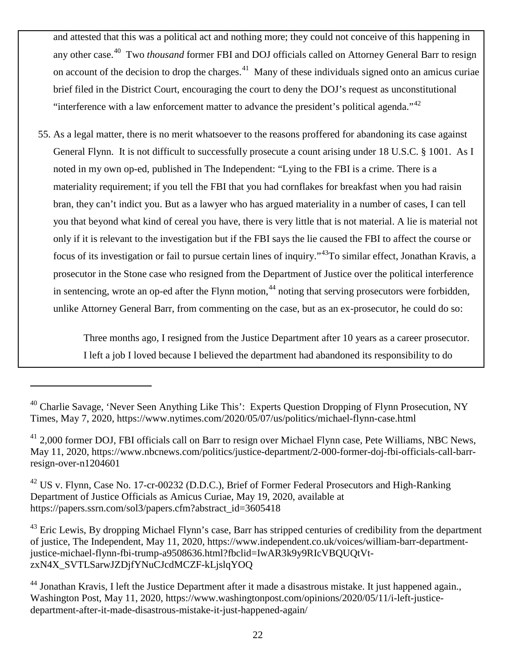and attested that this was a political act and nothing more; they could not conceive of this happening in any other case.[40](#page-21-0) Two *thousand* former FBI and DOJ officials called on Attorney General Barr to resign on account of the decision to drop the charges.<sup>41</sup> Many of these individuals signed onto an amicus curiae brief filed in the District Court, encouraging the court to deny the DOJ's request as unconstitutional "interference with a law enforcement matter to advance the president's political agenda."<sup>42</sup>

55. As a legal matter, there is no merit whatsoever to the reasons proffered for abandoning its case against General Flynn. It is not difficult to successfully prosecute a count arising under 18 U.S.C. § 1001. As I noted in my own op-ed, published in The Independent: "Lying to the FBI is a crime. There is a materiality requirement; if you tell the FBI that you had cornflakes for breakfast when you had raisin bran, they can't indict you. But as a lawyer who has argued materiality in a number of cases, I can tell you that beyond what kind of cereal you have, there is very little that is not material. A lie is material not only if it is relevant to the investigation but if the FBI says the lie caused the FBI to affect the course or focus of its investigation or fail to pursue certain lines of inquiry."[43T](#page-21-3)o similar effect, Jonathan Kravis, a prosecutor in the Stone case who resigned from the Department of Justice over the political interference in sentencing, wrote an op-ed after the Flynn motion,  $44$  noting that serving prosecutors were forbidden, unlike Attorney General Barr, from commenting on the case, but as an ex-prosecutor, he could do so:

> Three months ago, I resigned from the Justice Department after 10 years as a career prosecutor. I left a job I loved because I believed the department had abandoned its responsibility to do

<span id="page-21-0"></span> $^{40}$  Charlie Savage, 'Never Seen Anything Like This': Experts Question Dropping of Flynn Prosecution, NY Times, May 7, 2020, [https://www.nytimes.com/2020/05/07/us/politics/michael-flynn-case.html](about:blank)

<span id="page-21-1"></span> $^{41}$  2,000 former DOJ, FBI officials call on Barr to resign over Michael Flynn case, Pete Williams, NBC News, May 11, 2020, [https://www.nbcnews.com/politics/justice-department/2-000-former-doj-fbi-officials-call-barr](about:blank)[resign-over-n1204601](about:blank)

<span id="page-21-2"></span><sup>&</sup>lt;sup>42</sup> US v. Flynn, Case No. 17-cr-00232 (D.D.C.), Brief of Former Federal Prosecutors and High-Ranking Department of Justice Officials as Amicus Curiae, May 19, 2020, available at [https://papers.ssrn.com/sol3/papers.cfm?abstract\\_id=3605418](about:blank)

<span id="page-21-3"></span> $^{43}$  Eric Lewis, By dropping Michael Flynn's case, Barr has stripped centuries of credibility from the department of justice, The Independent, May 11, 2020, [https://www.independent.co.uk/voices/william-barr-department](about:blank)[justice-michael-flynn-fbi-trump-a9508636.html?fbclid=IwAR3k9y9RIcVBQUQtVt](about:blank)[zxN4X\\_SVTLSarwJZDjfYNuCJcdMCZF-kLjslqYOQ](about:blank)

<span id="page-21-4"></span><sup>&</sup>lt;sup>44</sup> Jonathan Kravis, I left the Justice Department after it made a disastrous mistake. It just happened again., Washington Post, May 11, 2020, https://www.washingtonpost.com/opinions/2020/05/11/i-left-justicedepartment-after-it-made-disastrous-mistake-it-just-happened-again/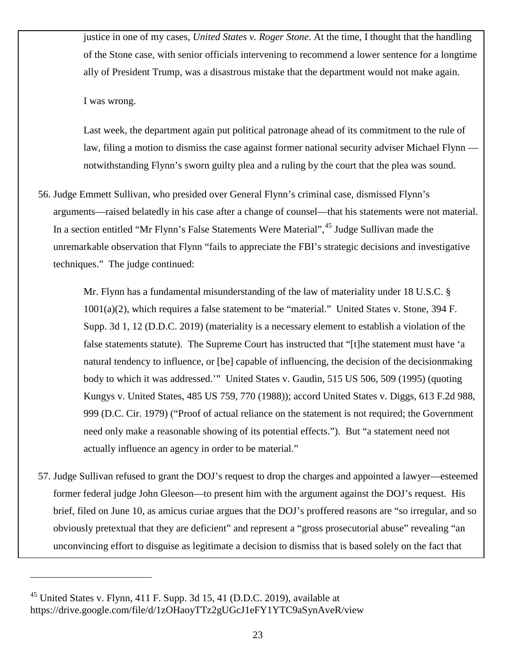justice in one of my cases, *United States v. Roger Stone*. At the time, I thought that the handling of the Stone case, with senior officials intervening to recommend a lower sentence for a longtime ally of President Trump, was a disastrous mistake that the department would not make again.

I was wrong.

Last week, the department again put political patronage ahead of its commitment to the rule of law, filing a motion to dismiss the case against former national security adviser Michael Flynn notwithstanding Flynn's sworn guilty plea and a ruling by the court that the plea was sound.

56. Judge Emmett Sullivan, who presided over General Flynn's criminal case, dismissed Flynn's arguments—raised belatedly in his case after a change of counsel—that his statements were not material. In a section entitled "Mr Flynn's False Statements Were Material", <sup>[45](#page-22-0)</sup> Judge Sullivan made the unremarkable observation that Flynn "fails to appreciate the FBI's strategic decisions and investigative techniques." The judge continued:

Mr. Flynn has a fundamental misunderstanding of the law of materiality under 18 U.S.C. § 1001(a)(2), which requires a false statement to be "material." United States v. Stone, 394 F. Supp. 3d 1, 12 (D.D.C. 2019) (materiality is a necessary element to establish a violation of the false statements statute). The Supreme Court has instructed that "[t]he statement must have 'a natural tendency to influence, or [be] capable of influencing, the decision of the decisionmaking body to which it was addressed.'" United States v. Gaudin, 515 US 506, 509 (1995) (quoting Kungys v. United States, 485 US 759, 770 (1988)); accord United States v. Diggs, 613 F.2d 988, 999 (D.C. Cir. 1979) ("Proof of actual reliance on the statement is not required; the Government need only make a reasonable showing of its potential effects."). But "a statement need not actually influence an agency in order to be material."

57. Judge Sullivan refused to grant the DOJ's request to drop the charges and appointed a lawyer—esteemed former federal judge John Gleeson—to present him with the argument against the DOJ's request. His brief, filed on June 10, as amicus curiae argues that the DOJ's proffered reasons are "so irregular, and so obviously pretextual that they are deficient" and represent a "gross prosecutorial abuse" revealing "an unconvincing effort to disguise as legitimate a decision to dismiss that is based solely on the fact that

<span id="page-22-0"></span> $45$  United States v. Flynn, 411 F. Supp. 3d 15, 41 (D.D.C. 2019), available at https://drive.google.com/file/d/1zOHaoyTTz2gUGcJ1eFY1YTC9aSynAveR/view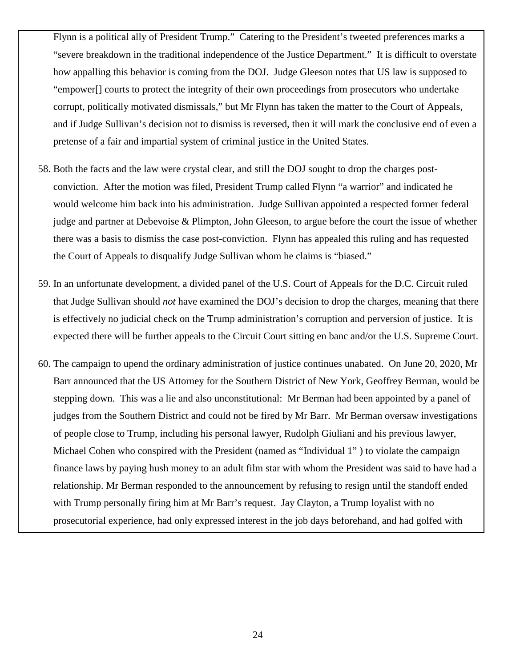Flynn is a political ally of President Trump." Catering to the President's tweeted preferences marks a "severe breakdown in the traditional independence of the Justice Department." It is difficult to overstate how appalling this behavior is coming from the DOJ. Judge Gleeson notes that US law is supposed to "empower[] courts to protect the integrity of their own proceedings from prosecutors who undertake corrupt, politically motivated dismissals," but Mr Flynn has taken the matter to the Court of Appeals, and if Judge Sullivan's decision not to dismiss is reversed, then it will mark the conclusive end of even a pretense of a fair and impartial system of criminal justice in the United States.

- 58. Both the facts and the law were crystal clear, and still the DOJ sought to drop the charges postconviction. After the motion was filed, President Trump called Flynn "a warrior" and indicated he would welcome him back into his administration. Judge Sullivan appointed a respected former federal judge and partner at Debevoise & Plimpton, John Gleeson, to argue before the court the issue of whether there was a basis to dismiss the case post-conviction. Flynn has appealed this ruling and has requested the Court of Appeals to disqualify Judge Sullivan whom he claims is "biased."
- 59. In an unfortunate development, a divided panel of the U.S. Court of Appeals for the D.C. Circuit ruled that Judge Sullivan should *not* have examined the DOJ's decision to drop the charges, meaning that there is effectively no judicial check on the Trump administration's corruption and perversion of justice. It is expected there will be further appeals to the Circuit Court sitting en banc and/or the U.S. Supreme Court.
- 60. The campaign to upend the ordinary administration of justice continues unabated. On June 20, 2020, Mr Barr announced that the US Attorney for the Southern District of New York, Geoffrey Berman, would be stepping down. This was a lie and also unconstitutional: Mr Berman had been appointed by a panel of judges from the Southern District and could not be fired by Mr Barr. Mr Berman oversaw investigations of people close to Trump, including his personal lawyer, Rudolph Giuliani and his previous lawyer, Michael Cohen who conspired with the President (named as "Individual 1" ) to violate the campaign finance laws by paying hush money to an adult film star with whom the President was said to have had a relationship. Mr Berman responded to the announcement by refusing to resign until the standoff ended with Trump personally firing him at Mr Barr's request. Jay Clayton, a Trump loyalist with no prosecutorial experience, had only expressed interest in the job days beforehand, and had golfed with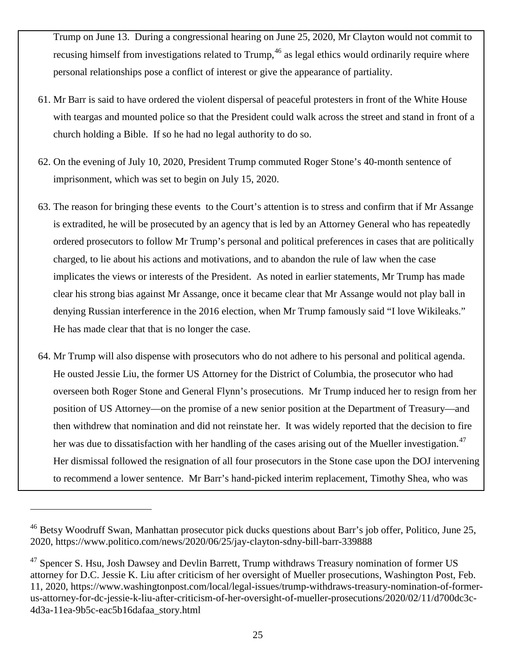Trump on June 13. During a congressional hearing on June 25, 2020, Mr Clayton would not commit to recusing himself from investigations related to Trump,<sup>[46](#page-24-0)</sup> as legal ethics would ordinarily require where personal relationships pose a conflict of interest or give the appearance of partiality.

- 61. Mr Barr is said to have ordered the violent dispersal of peaceful protesters in front of the White House with teargas and mounted police so that the President could walk across the street and stand in front of a church holding a Bible. If so he had no legal authority to do so.
- 62. On the evening of July 10, 2020, President Trump commuted Roger Stone's 40-month sentence of imprisonment, which was set to begin on July 15, 2020.
- 63. The reason for bringing these events to the Court's attention is to stress and confirm that if Mr Assange is extradited, he will be prosecuted by an agency that is led by an Attorney General who has repeatedly ordered prosecutors to follow Mr Trump's personal and political preferences in cases that are politically charged, to lie about his actions and motivations, and to abandon the rule of law when the case implicates the views or interests of the President. As noted in earlier statements, Mr Trump has made clear his strong bias against Mr Assange, once it became clear that Mr Assange would not play ball in denying Russian interference in the 2016 election, when Mr Trump famously said "I love Wikileaks." He has made clear that that is no longer the case.
- 64. Mr Trump will also dispense with prosecutors who do not adhere to his personal and political agenda. He ousted Jessie Liu, the former US Attorney for the District of Columbia, the prosecutor who had overseen both Roger Stone and General Flynn's prosecutions. Mr Trump induced her to resign from her position of US Attorney—on the promise of a new senior position at the Department of Treasury—and then withdrew that nomination and did not reinstate her. It was widely reported that the decision to fire her was due to dissatisfaction with her handling of the cases arising out of the Mueller investigation.<sup>[47](#page-24-1)</sup> Her dismissal followed the resignation of all four prosecutors in the Stone case upon the DOJ intervening to recommend a lower sentence. Mr Barr's hand-picked interim replacement, Timothy Shea, who was

<span id="page-24-0"></span><sup>&</sup>lt;sup>46</sup> Betsy Woodruff Swan, Manhattan prosecutor pick ducks questions about Barr's job offer, Politico, June 25, 2020, [https://www.politico.com/news/2020/06/25/jay-clayton-sdny-bill-barr-339888](about:blank)

<span id="page-24-1"></span> $47$  Spencer S. Hsu, Josh Dawsey and Devlin Barrett, Trump withdraws Treasury nomination of former US attorney for D.C. Jessie K. Liu after criticism of her oversight of Mueller prosecutions, Washington Post, Feb. 11, 2020, [https://www.washingtonpost.com/local/legal-issues/trump-withdraws-treasury-nomination-of-former](about:blank)[us-attorney-for-dc-jessie-k-liu-after-criticism-of-her-oversight-of-mueller-prosecutions/2020/02/11/d700dc3c-](about:blank)[4d3a-11ea-9b5c-eac5b16dafaa\\_story.html](about:blank)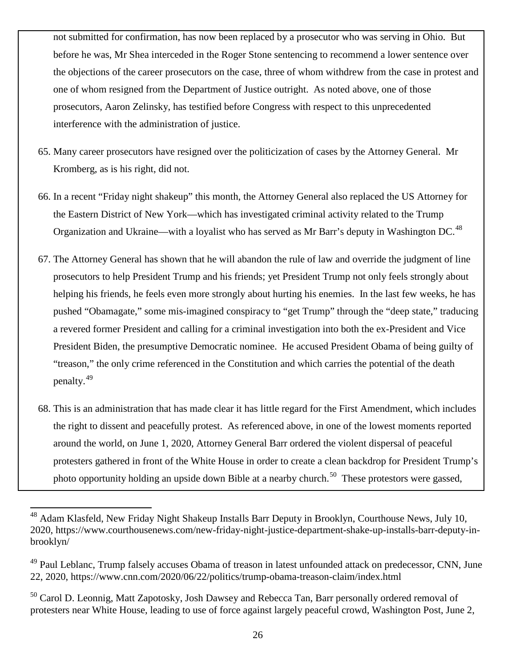not submitted for confirmation, has now been replaced by a prosecutor who was serving in Ohio. But before he was, Mr Shea interceded in the Roger Stone sentencing to recommend a lower sentence over the objections of the career prosecutors on the case, three of whom withdrew from the case in protest and one of whom resigned from the Department of Justice outright. As noted above, one of those prosecutors, Aaron Zelinsky, has testified before Congress with respect to this unprecedented interference with the administration of justice.

- 65. Many career prosecutors have resigned over the politicization of cases by the Attorney General. Mr Kromberg, as is his right, did not.
- 66. In a recent "Friday night shakeup" this month, the Attorney General also replaced the US Attorney for the Eastern District of New York—which has investigated criminal activity related to the Trump Organization and Ukraine—with a loyalist who has served as Mr Barr's deputy in Washington DC.<sup>[48](#page-25-0)</sup>
- 67. The Attorney General has shown that he will abandon the rule of law and override the judgment of line prosecutors to help President Trump and his friends; yet President Trump not only feels strongly about helping his friends, he feels even more strongly about hurting his enemies. In the last few weeks, he has pushed "Obamagate," some mis-imagined conspiracy to "get Trump" through the "deep state," traducing a revered former President and calling for a criminal investigation into both the ex-President and Vice President Biden, the presumptive Democratic nominee. He accused President Obama of being guilty of "treason," the only crime referenced in the Constitution and which carries the potential of the death penalty.[49](#page-25-1)
- 68. This is an administration that has made clear it has little regard for the First Amendment, which includes the right to dissent and peacefully protest. As referenced above, in one of the lowest moments reported around the world, on June 1, 2020, Attorney General Barr ordered the violent dispersal of peaceful protesters gathered in front of the White House in order to create a clean backdrop for President Trump's photo opportunity holding an upside down Bible at a nearby church.<sup>50</sup> These protestors were gassed,

<span id="page-25-0"></span><sup>&</sup>lt;sup>48</sup> Adam Klasfeld, New Friday Night Shakeup Installs Barr Deputy in Brooklyn, Courthouse News, July 10, 2020, https://www.courthousenews.com/new-friday-night-justice-department-shake-up-installs-barr-deputy-inbrooklyn/

<span id="page-25-1"></span><sup>&</sup>lt;sup>49</sup> Paul Leblanc, Trump falsely accuses Obama of treason in latest unfounded attack on predecessor, CNN, June 22, 2020,<https://www.cnn.com/2020/06/22/politics/trump-obama-treason-claim/index.html>

<span id="page-25-2"></span><sup>&</sup>lt;sup>50</sup> Carol D. Leonnig, Matt Zapotosky, Josh Dawsey and Rebecca Tan, Barr personally ordered removal of protesters near White House, leading to use of force against largely peaceful crowd, Washington Post, June 2,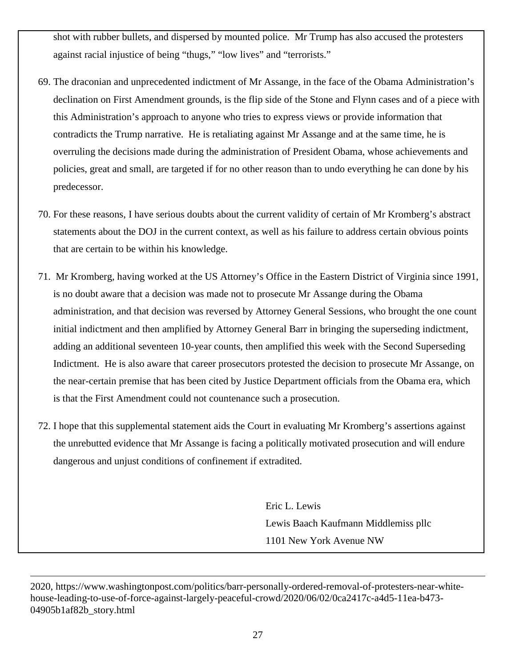shot with rubber bullets, and dispersed by mounted police. Mr Trump has also accused the protesters against racial injustice of being "thugs," "low lives" and "terrorists."

- 69. The draconian and unprecedented indictment of Mr Assange, in the face of the Obama Administration's declination on First Amendment grounds, is the flip side of the Stone and Flynn cases and of a piece with this Administration's approach to anyone who tries to express views or provide information that contradicts the Trump narrative. He is retaliating against Mr Assange and at the same time, he is overruling the decisions made during the administration of President Obama, whose achievements and policies, great and small, are targeted if for no other reason than to undo everything he can done by his predecessor.
- 70. For these reasons, I have serious doubts about the current validity of certain of Mr Kromberg's abstract statements about the DOJ in the current context, as well as his failure to address certain obvious points that are certain to be within his knowledge.
- 71. Mr Kromberg, having worked at the US Attorney's Office in the Eastern District of Virginia since 1991, is no doubt aware that a decision was made not to prosecute Mr Assange during the Obama administration, and that decision was reversed by Attorney General Sessions, who brought the one count initial indictment and then amplified by Attorney General Barr in bringing the superseding indictment, adding an additional seventeen 10-year counts, then amplified this week with the Second Superseding Indictment. He is also aware that career prosecutors protested the decision to prosecute Mr Assange, on the near-certain premise that has been cited by Justice Department officials from the Obama era, which is that the First Amendment could not countenance such a prosecution.
- 72. I hope that this supplemental statement aids the Court in evaluating Mr Kromberg's assertions against the unrebutted evidence that Mr Assange is facing a politically motivated prosecution and will endure dangerous and unjust conditions of confinement if extradited.

Eric L. Lewis Lewis Baach Kaufmann Middlemiss pllc 1101 New York Avenue NW

2020, [https://www.washingtonpost.com/politics/barr-personally-ordered-removal-of-protesters-near-white](about:blank)[house-leading-to-use-of-force-against-largely-peaceful-crowd/2020/06/02/0ca2417c-a4d5-11ea-b473-](about:blank) [04905b1af82b\\_story.html](about:blank)